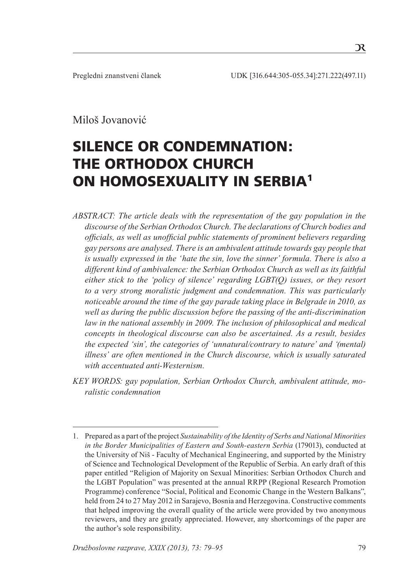$\mathcal{R}$ 

Miloš Jovanović

# SILENCE OR CONDEMNATION: THE ORTHODOX CHURCH ON HOMOSEXUALITY IN SERBIA<sup>1</sup>

*ABSTRACT: The article deals with the representation of the gay population in the discourse of the Serbian Orthodox Church. The declarations of Church bodies and officials, as well as unofficial public statements of prominent believers regarding gay persons are analysed. There is an ambivalent attitude towards gay people that is usually expressed in the 'hate the sin, love the sinner' formula. There is also a different kind of ambivalence: the Serbian Orthodox Church as well as its faithful either stick to the 'policy of silence' regarding LGBT(Q) issues, or they resort to a very strong moralistic judgment and condemnation. This was particularly noticeable around the time of the gay parade taking place in Belgrade in 2010, as well as during the public discussion before the passing of the anti-discrimination law in the national assembly in 2009. The inclusion of philosophical and medical concepts in theological discourse can also be ascertained. As a result, besides the expected 'sin', the categories of 'unnatural/contrary to nature' and '(mental) illness' are often mentioned in the Church discourse, which is usually saturated with accentuated anti-Westernism.*

*KEY WORDS: gay population, Serbian Orthodox Church, ambivalent attitude, moralistic condemnation*

<sup>1.</sup> Prepared as a part of the project *Sustainability of the Identity of Serbs and National Minorities in the Border Municipalities of Eastern and South-eastern Serbia* (179013), conducted at the University of Niš - Faculty of Mechanical Engineering, and supported by the Ministry of Science and Technological Development of the Republic of Serbia. An early draft of this paper entitled "Religion of Majority on Sexual Minorities: Serbian Orthodox Church and the LGBT Population" was presented at the annual RRPP (Regional Research Promotion Programme) conference "Social, Political and Economic Change in the Western Balkans", held from 24 to 27 May 2012 in Sarajevo, Bosnia and Herzegovina. Constructive comments that helped improving the overall quality of the article were provided by two anonymous reviewers, and they are greatly appreciated. However, any shortcomings of the paper are the author's sole responsibility.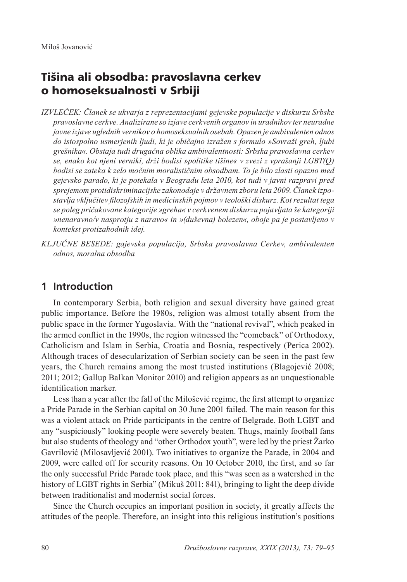# Tišina ali obsodba: pravoslavna cerkev o homoseksualnosti v Srbiji

- *IZVLEČEK: Članek se ukvarja z reprezentacijami gejevske populacije v diskurzu Srbske pravoslavne cerkve. Analizirane so izjave cerkvenih organov in uradnikov ter neuradne javne izjave uglednih vernikov o homoseksualnih osebah. Opazen je ambivalenten odnos do istospolno usmerjenih ljudi, ki je običajno izražen s formulo »Sovraži greh, ljubi grešnika«. Obstaja tudi drugačna oblika ambivalentnosti: Srbska pravoslavna cerkev se, enako kot njeni verniki, drži bodisi »politike tišine« v zvezi z vprašanji LGBT(Q) bodisi se zateka k zelo močnim moralističnim obsodbam. To je bilo zlasti opazno med gejevsko parado, ki je potekala v Beogradu leta 2010, kot tudi v javni razpravi pred sprejemom protidiskriminacijske zakonodaje v državnem zboru leta 2009. Članek izpostavlja vključitev filozofskih in medicinskih pojmov v teološki diskurz. Kot rezultat tega se poleg pričakovane kategorije »greha« v cerkvenem diskurzu pojavljata še kategoriji »nenaravno/v nasprotju z naravo« in »(duševna) bolezen«, oboje pa je postavljeno v kontekst protizahodnih idej.*
- *KLJUČNE BESEDE: gajevska populacija, Srbska pravoslavna Cerkev, ambivalenten odnos, moralna obsodba*

# **1 Introduction**

In contemporary Serbia, both religion and sexual diversity have gained great public importance. Before the 1980s, religion was almost totally absent from the public space in the former Yugoslavia. With the "national revival", which peaked in the armed conflict in the 1990s, the region witnessed the "comeback" of Orthodoxy, Catholicism and Islam in Serbia, Croatia and Bosnia, respectively (Perica 2002). Although traces of desecularization of Serbian society can be seen in the past few years, the Church remains among the most trusted institutions (Blagojević 2008; 2011; 2012; Gallup Balkan Monitor 2010) and religion appears as an unquestionable identification marker.

Less than a year after the fall of the Milošević regime, the first attempt to organize a Pride Parade in the Serbian capital on 30 June 2001 failed. The main reason for this was a violent attack on Pride participants in the centre of Belgrade. Both LGBT and any "suspiciously" looking people were severely beaten. Thugs, mainly football fans but also students of theology and "other Orthodox youth", were led by the priest Žarko Gavrilović (Milosavljević 2001). Two initiatives to organize the Parade, in 2004 and 2009, were called off for security reasons. On 10 October 2010, the first, and so far the only successful Pride Parade took place, and this "was seen as a watershed in the history of LGBT rights in Serbia" (Mikuš 2011: 841), bringing to light the deep divide between traditionalist and modernist social forces.

Since the Church occupies an important position in society, it greatly affects the attitudes of the people. Therefore, an insight into this religious institution's positions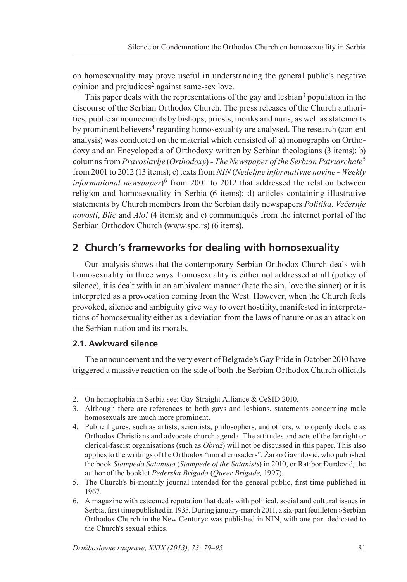on homosexuality may prove useful in understanding the general public's negative opinion and prejudices<sup>2</sup> against same-sex love.

This paper deals with the representations of the gay and lesbian<sup>3</sup> population in the discourse of the Serbian Orthodox Church. The press releases of the Church authorities, public announcements by bishops, priests, monks and nuns, as well as statements by prominent believers<sup>4</sup> regarding homosexuality are analysed. The research (content analysis) was conducted on the material which consisted of: a) monographs on Orthodoxy and an Encyclopedia of Orthodoxy written by Serbian theologians (3 items); b) columns from *Pravoslavlje* (*Orthodoxy*) - *The Newspaper of the Serbian Patriarchate*<sup>5</sup> from 2001 to 2012 (13 items); c) texts from *NIN* (*Nedeljne informativne novine* - *Weekly informational newspaper*)6 from 2001 to 2012 that addressed the relation between religion and homosexuality in Serbia (6 items); d) articles containing illustrative statements by Church members from the Serbian daily newspapers *Politika*, *Večernje novosti*, *Blic* and *Alo!* (4 items); and e) communiqués from the internet portal of the Serbian Orthodox Church (www.spc.rs) (6 items).

# **2 Church's frameworks for dealing with homosexuality**

Our analysis shows that the contemporary Serbian Orthodox Church deals with homosexuality in three ways: homosexuality is either not addressed at all (policy of silence), it is dealt with in an ambivalent manner (hate the sin, love the sinner) or it is interpreted as a provocation coming from the West. However, when the Church feels provoked, silence and ambiguity give way to overt hostility, manifested in interpretations of homosexuality either as a deviation from the laws of nature or as an attack on the Serbian nation and its morals.

#### **2.1. Awkward silence**

The announcement and the very event of Belgrade's Gay Pride in October 2010 have triggered a massive reaction on the side of both the Serbian Orthodox Church officials

<sup>2.</sup> On homophobia in Serbia see: Gay Straight Alliance & CeSID 2010.

<sup>3</sup>. Although there are references to both gays and lesbians, statements concerning male homosexuals are much more prominent.

<sup>4</sup>. Public figures, such as artists, scientists, philosophers, and others, who openly declare as Orthodox Christians and advocate church agenda. The attitudes and acts of the far right or clerical-fascist organisations (such as *Obraz*) will not be discussed in this paper. This also applies to the writings of the Orthodox "moral crusaders": Žarko Gavrilović, who published the book *Stampedo Satanista* (*Stampede of the Satanists*) in 2010, or Ratibor Đurđević, the author of the booklet *Pederska Brigada* (*Queer Brigade,* 1997).

<sup>5.</sup> The Church's bi-monthly journal intended for the general public, first time published in 1967.

<sup>6.</sup> A magazine with esteemed reputation that deals with political, social and cultural issues in Serbia, first time published in 1935. During january-march 2011, a six-part feuilleton »Serbian Orthodox Church in the New Century« was published in NIN, with one part dedicated to the Church's sexual ethics.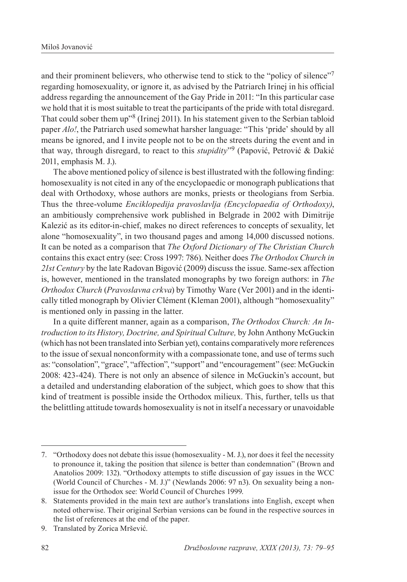and their prominent believers, who otherwise tend to stick to the "policy of silence"<sup>7</sup> regarding homosexuality, or ignore it, as advised by the Patriarch Irinej in his official address regarding the announcement of the Gay Pride in 2011: "In this particular case we hold that it is most suitable to treat the participants of the pride with total disregard. That could sober them up"8 (Irinej 2011). In his statement given to the Serbian tabloid paper *Alo!*, the Patriarch used somewhat harsher language: "This 'pride' should by all means be ignored, and I invite people not to be on the streets during the event and in that way, through disregard, to react to this *stupidity*"9 (Papović, Petrović & Dakić 2011, emphasis M. J.).

The above mentioned policy of silence is best illustrated with the following finding: homosexuality is not cited in any of the encyclopaedic or monograph publications that deal with Orthodoxy, whose authors are monks, priests or theologians from Serbia. Thus the three-volume *Enciklopedija pravoslavlja (Encyclopaedia of Orthodoxy)*, an ambitiously comprehensive work published in Belgrade in 2002 with Dimitrije Kalezić as its editor-in-chief, makes no direct references to concepts of sexuality, let alone "homosexuality", in two thousand pages and among 14,000 discussed notions. It can be noted as a comparison that *The Oxford Dictionary of The Christian Church*  contains this exact entry (see: Cross 1997: 786). Neither does *The Orthodox Church in 21st Century* by the late Radovan Bigović (2009) discuss the issue. Same-sex affection is, however, mentioned in the translated monographs by two foreign authors: in *The Orthodox Church* (*Pravoslavna crkva*) by Timothy Ware (Ver 2001) and in the identically titled monograph by Olivier Clément (Kleman 2001), although "homosexuality" is mentioned only in passing in the latter.

In a quite different manner, again as a comparison, *The Orthodox Church: An Introduction to its History, Doctrine, and Spiritual Culture,* by John Anthony McGuckin (which has not been translated into Serbian yet), contains comparatively more references to the issue of sexual nonconformity with a compassionate tone, and use of terms such as: "consolation", "grace", "affection", "support" and "encouragement" (see: McGuckin 2008: 423-424). There is not only an absence of silence in McGuckin's account, but a detailed and understanding elaboration of the subject, which goes to show that this kind of treatment is possible inside the Orthodox milieux. This, further, tells us that the belittling attitude towards homosexuality is not in itself a necessary or unavoidable

<sup>7</sup>. "Orthodoxy does not debate this issue (homosexuality - M. J.), nor does it feel the necessity to pronounce it, taking the position that silence is better than condemnation" (Brown and Anatolios 2009: 132). "Orthodoxy attempts to stifle discussion of gay issues in the WCC (World Council of Churches - M. J.)" (Newlands 2006: 97 n3). On sexuality being a nonissue for the Orthodox see: World Council of Churches 1999.

<sup>8.</sup> Statements provided in the main text are author's translations into English, except when noted otherwise. Their original Serbian versions can be found in the respective sources in the list of references at the end of the paper.

<sup>9</sup>. Translated by Zorica Mršević.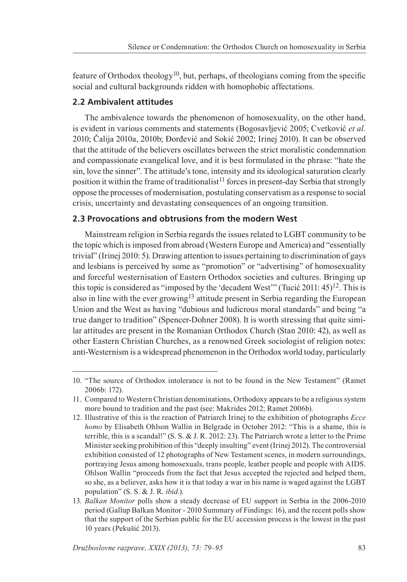feature of Orthodox theology<sup>10</sup>, but, perhaps, of theologians coming from the specific social and cultural backgrounds ridden with homophobic affectations.

#### **2.2 Ambivalent attitudes**

The ambivalence towards the phenomenon of homosexuality, on the other hand, is evident in various comments and statements (Bogosavljević 2005; Cvetković *et al.* 2010; Čalija 2010a, 2010b; Đorđević and Sokić 2002; Irinej 2010). It can be observed that the attitude of the believers oscillates between the strict moralistic condemnation and compassionate evangelical love, and it is best formulated in the phrase: "hate the sin, love the sinner". The attitude's tone, intensity and its ideological saturation clearly position it within the frame of traditionalist<sup>11</sup> forces in present-day Serbia that strongly oppose the processes of modernisation, postulating conservatism as a response to social crisis, uncertainty and devastating consequences of an ongoing transition.

#### **2.3 Provocations and obtrusions from the modern West**

Mainstream religion in Serbia regards the issues related to LGBT community to be the topic which is imposed from abroad (Western Europe and America) and "essentially trivial" (Irinej 2010: 5). Drawing attention to issues pertaining to discrimination of gays and lesbians is perceived by some as "promotion" or "advertising" of homosexuality and forceful westernisation of Eastern Orthodox societies and cultures. Bringing up this topic is considered as "imposed by the 'decadent West'" (Tucić 2011:  $45$ )<sup>12</sup>. This is also in line with the ever growing<sup>13</sup> attitude present in Serbia regarding the European Union and the West as having "dubious and ludicrous moral standards" and being "a true danger to tradition" (Spencer-Dohner 2008). It is worth stressing that quite similar attitudes are present in the Romanian Orthodox Church (Stan 2010: 42), as well as other Eastern Christian Churches, as a renowned Greek sociologist of religion notes: anti-Westernism is a widespread phenomenon in the Orthodox world today, particularly

<sup>10.</sup> "The source of Orthodox intolerance is not to be found in the New Testament" (Ramet 2006b: 172).

<sup>11.</sup> Compared to Western Christian denominations, Orthodoxy appears to be a religious system more bound to tradition and the past (see: Makrides 2012; Ramet 2006b).

<sup>12.</sup> Illustrative of this is the reaction of Patriarch Irinej to the exhibition of photographs *Ecce homo* by Elisabeth Ohlson Wallin in Belgrade in October 2012: "This is a shame, this is terrible, this is a scandal!" (S. S. & J. R. 2012: 23). The Patriarch wrote a letter to the Prime Minister seeking prohibition of this "deeply insulting" event (Irinej 2012). The controversial exhibition consisted of 12 photographs of New Testament scenes, in modern surroundings, portraying Jesus among homosexuals, trans people, leather people and people with AIDS. Ohlson Wallin "proceeds from the fact that Jesus accepted the rejected and helped them, so she, as a believer, asks how it is that today a war in his name is waged against the LGBT population" (S. S. & J. R. *ibid.*).

<sup>13</sup>*. Balkan Monitor* polls show a steady decrease of EU support in Serbia in the 2006-2010 period (Gallup Balkan Monitor - 2010 Summary of Findings: 16), and the recent polls show that the support of the Serbian public for the EU accession process is the lowest in the past 10 years (Pekušić 2013).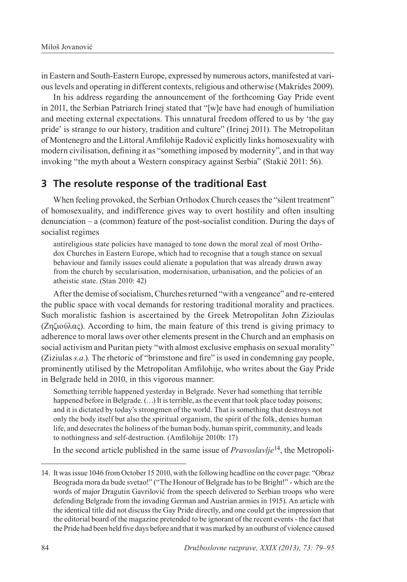in Eastern and South-Eastern Europe, expressed by numerous actors, manifested at various levels and operating in different contexts, religious and otherwise (Makrides 2009).

In his address regarding the announcement of the forthcoming Gay Pride event in 2011, the Serbian Patriarch Irinej stated that "[w]e have had enough of humiliation and meeting external expectations. This unnatural freedom offered to us by 'the gay pride' is strange to our history, tradition and culture" (Irinej 2011). The Metropolitan of Montenegro and the Littoral Amfilohije Radović explicitly links homosexuality with modern civilisation, defining it as "something imposed by modernity", and in that way invoking "the myth about a Western conspiracy against Serbia" (Stakić 2011: 56).

# **3 The resolute response of the traditional East**

When feeling provoked, the Serbian Orthodox Church ceases the "silent treatment" of homosexuality, and indifference gives way to overt hostility and often insulting denunciation – a (common) feature of the post-socialist condition. During the days of socialist regimes

antireligious state policies have managed to tone down the moral zeal of most Orthodox Churches in Eastern Europe, which had to recognise that a tough stance on sexual behaviour and family issues could alienate a population that was already drawn away from the church by secularisation, modernisation, urbanisation, and the policies of an atheistic state. (Stan 2010: 42)

After the demise of socialism, Churches returned "with a vengeance" and re-entered the public space with vocal demands for restoring traditional morality and practices. Such moralistic fashion is ascertained by the Greek Metropolitan John Zizioulas (Ζηζιούλας). According to him, the main feature of this trend is giving primacy to adherence to moral laws over other elements present in the Church and an emphasis on social activism and Puritan piety "with almost exclusive emphasis on sexual morality" (Ziziulas *s.a.*). The rhetoric of "brimstone and fire" is used in condemning gay people, prominently utilised by the Metropolitan Amfilohije, who writes about the Gay Pride in Belgrade held in 2010, in this vigorous manner:

Something terrible happened yesterday in Belgrade. Never had something that terrible happened before in Belgrade. (...) It is terrible, as the event that took place today poisons; and it is dictated by today's strongmen of the world. That is something that destroys not only the body itself but also the spiritual organism, the spirit of the folk, denies human life, and desecrates the holiness of the human body, human spirit, community, and leads to nothingness and self-destruction. (Amfilohije 2010b: 17)

In the second article published in the same issue of *Pravoslavlje*14, the Metropoli-

<sup>14.</sup> It was issue 1046 from October 15 2010, with the following headline on the cover page: "Obraz Beograda mora da bude svetao!" ("The Honour of Belgrade has to be Bright!" - which are the words of major Dragutin Gavrilović from the speech delivered to Serbian troops who were defending Belgrade from the invading German and Austrian armies in 1915). An article with the identical title did not discuss the Gay Pride directly, and one could get the impression that the editorial board of the magazine pretended to be ignorant of the recent events - the fact that the Pride had been held five days before and that it was marked by an outburst of violence caused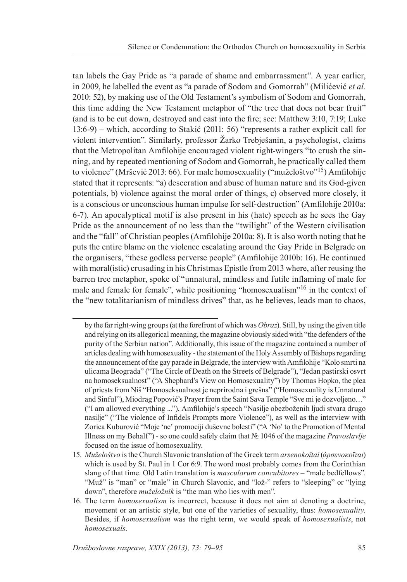tan labels the Gay Pride as "a parade of shame and embarrassment". A year earlier, in 2009, he labelled the event as "a parade of Sodom and Gomorrah" (Milićević *et al.*  2010: 52), by making use of the Old Testament's symbolism of Sodom and Gomorrah, this time adding the New Testament metaphor of "the tree that does not bear fruit" (and is to be cut down, destroyed and cast into the fire; see: Matthew 3:10, 7:19; Luke 13:6-9) – which, according to Stakić (2011: 56) "represents a rather explicit call for violent intervention". Similarly, professor Žarko Trebješanin, a psychologist, claims that the Metropolitan Amfilohije encouraged violent right-wingers "to crush the sinning, and by repeated mentioning of Sodom and Gomorrah, he practically called them to violence" (Mršević 2013: 66). For male homosexuality ("muželoštvo"15) Amfilohije stated that it represents: "a) desecration and abuse of human nature and its God-given potentials, b) violence against the moral order of things, c) observed more closely, it is a conscious or unconscious human impulse for self-destruction" (Amfilohije 2010a: 6-7). An apocalyptical motif is also present in his (hate) speech as he sees the Gay Pride as the announcement of no less than the "twilight" of the Western civilisation and the "fall" of Christian peoples (Amfilohije 2010a: 8). It is also worth noting that he puts the entire blame on the violence escalating around the Gay Pride in Belgrade on the organisers, "these godless perverse people" (Amfilohije 2010b: 16). He continued with moral(istic) crusading in his Christmas Epistle from 2013 where, after reusing the barren tree metaphor, spoke of "unnatural, mindless and futile inflaming of male for male and female for female", while positioning "homosexualism"<sup>16</sup> in the context of the "new totalitarianism of mindless drives" that, as he believes, leads man to chaos,

by the far right-wing groups (at the forefront of which was *Obraz*). Still, by using the given title and relying on its allegorical meaning, the magazine obviously sided with "the defenders of the purity of the Serbian nation". Additionally, this issue of the magazine contained a number of articles dealing with homosexuality - the statement of the Holy Assembly of Bishops regarding the announcement of the gay parade in Belgrade, the interview with Amfilohije "Kolo smrti na ulicama Beograda" ("The Circle of Death on the Streets of Belgrade"), "Jedan pastirski osvrt na homoseksualnost" ("A Shephard's View on Homosexuality") by Thomas Hopko, the plea of priests from Niš "Homoseksualnost je neprirodna i grešna" ("Homosexuality is Unnatural and Sinful"), Miodrag Popović's Prayer from the Saint Sava Temple "Sve mi je dozvoljeno…" ("I am allowed everything ..."), Amfilohije's speech "Nasilje obezboženih ljudi stvara drugo nasilje" ("The violence of Infidels Prompts more Violence"), as well as the interview with Zorica Kuburović "Moje 'ne' promociji duševne bolesti" ("A 'No' to the Promotion of Mental Illness on my Behalf") - so one could safely claim that № 1046 of the magazine *Pravoslavlje* focused on the issue of homosexuality.

<sup>15</sup>*. Muželoštvo* is the Church Slavonic translation of the Greek term *arsenokoîtai* (*ἀρσενοκοῑται*) which is used by St. Paul in 1 Cor 6:9. The word most probably comes from the Corinthian slang of that time. Old Latin translation is *masculorum concubitores* – "male bedfellows". "Muž" is "man" or "male" in Church Slavonic, and "lož-" refers to "sleeping" or "lying down", therefore *muželožnik* is "the man who lies with men".

<sup>16.</sup> The term *homosexualism* is incorrect, because it does not aim at denoting a doctrine, movement or an artistic style, but one of the varieties of sexuality, thus: *homosexuality.*  Besides, if *homosexualism* was the right term, we would speak of *homosexualists*, not *homosexuals*.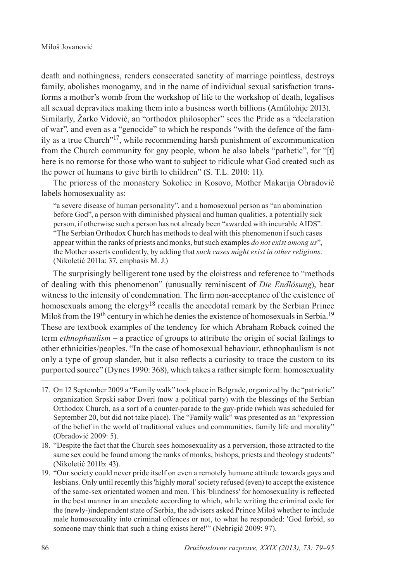death and nothingness, renders consecrated sanctity of marriage pointless, destroys family, abolishes monogamy, and in the name of individual sexual satisfaction transforms a mother's womb from the workshop of life to the workshop of death, legalises all sexual depravities making them into a business worth billions (Amfilohije 2013). Similarly, Žarko Vidović, an "orthodox philosopher" sees the Pride as a "declaration of war", and even as a "genocide" to which he responds "with the defence of the family as a true Church"17, while recommending harsh punishment of excommunication from the Church community for gay people, whom he also labels "pathetic", for "[t] here is no remorse for those who want to subject to ridicule what God created such as the power of humans to give birth to children" (S. T.L. 2010: 11).

The prioress of the monastery Sokolice in Kosovo, Mother Makarija Obradović labels homosexuality as:

"a severe disease of human personality", and a homosexual person as "an abomination before God", a person with diminished physical and human qualities, a potentially sick person, if otherwise such a person has not already been "awarded with incurable AIDS". "The Serbian Orthodox Church has methods to deal with this phenomenon if such cases appear within the ranks of priests and monks, but such examples *do not exist among us*", the Mother asserts confidently, by adding that *such cases might exist in other religions*. (Nikoletić 2011a: 37, emphasis M. J.)

The surprisingly belligerent tone used by the cloistress and reference to "methods of dealing with this phenomenon" (unusually reminiscent of *Die Endlösung*), bear witness to the intensity of condemnation. The firm non-acceptance of the existence of homosexuals among the clergy<sup>18</sup> recalls the anecdotal remark by the Serbian Prince Miloš from the 19<sup>th</sup> century in which he denies the existence of homosexuals in Serbia.<sup>19</sup> These are textbook examples of the tendency for which Abraham Roback coined the term *ethnophaulism* – a practice of groups to attribute the origin of social failings to other ethnicities/peoples. "In the case of homosexual behaviour, ethnophaulism is not only a type of group slander, but it also reflects a curiosity to trace the custom to its purported source" (Dynes 1990: 368), which takes a rather simple form: homosexuality

<sup>17.</sup> On 12 September 2009 a "Family walk" took place in Belgrade, organized by the "patriotic" organization Srpski sabor Dveri (now a political party) with the blessings of the Serbian Orthodox Church, as a sort of a counter-parade to the gay-pride (which was scheduled for September 20, but did not take place). The "Family walk" was presented as an "expression of the belief in the world of traditional values and communities, family life and morality" (Obradović 2009: 5).

<sup>18.</sup> "Despite the fact that the Church sees homosexuality as a perversion, those attracted to the same sex could be found among the ranks of monks, bishops, priests and theology students" (Nikоlеtić 2011b: 43).

<sup>19.</sup> "Our society could never pride itself on even a remotely humane attitude towards gays and lesbians. Only until recently this 'highly moral' society refused (even) to accept the existence of the same-sex orientated women and men. This 'blindness' for homosexuality is reflected in the best manner in an anecdote according to which, while writing the criminal code for the (newly-)independent state of Serbia, the advisers asked Prince Miloš whether to include male homosexuality into criminal offences or not, to what he responded: 'God forbid, so someone may think that such a thing exists here!'" (Nеbrigić 2009: 97).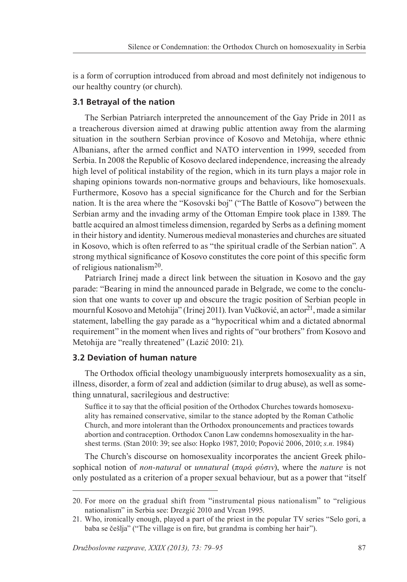is a form of corruption introduced from abroad and most definitely not indigenous to our healthy country (or church).

#### **3.1 Betrayal of the nation**

The Serbian Patriarch interpreted the announcement of the Gay Pride in 2011 as a treacherous diversion aimed at drawing public attention away from the alarming situation in the southern Serbian province of Kosovo and Metohija, where ethnic Albanians, after the armed conflict and NATO intervention in 1999, seceded from Serbia. In 2008 the Republic of Kosovo declared independence, increasing the already high level of political instability of the region, which in its turn plays a major role in shaping opinions towards non-normative groups and behaviours, like homosexuals. Furthermore, Kosovo has a special significance for the Church and for the Serbian nation. It is the area where the "Kosovski boj" ("The Battle of Kosovo") between the Serbian army and the invading army of the Ottoman Empire took place in 1389. The battle acquired an almost timeless dimension, regarded by Serbs as a defining moment in their history and identity. Numerous medieval monasteries and churches are situated in Kosovo, which is often referred to as "the spiritual cradle of the Serbian nation". A strong mythical significance of Kosovo constitutes the core point of this specific form of religious nationalism20.

Patriarch Irinej made a direct link between the situation in Kosovo and the gay parade: "Bearing in mind the announced parade in Belgrade, we come to the conclusion that one wants to cover up and obscure the tragic position of Serbian people in mournful Kosovo and Metohija" (Irinej 2011). Ivan Vučković, an actor<sup>21</sup>, made a similar statement, labelling the gay parade as a "hypocritical whim and a dictated abnormal requirement" in the moment when lives and rights of "our brothers" from Kosovo and Metohija are "really threatened" (Lazić 2010: 21).

#### **3.2 Deviation of human nature**

The Orthodox official theology unambiguously interprets homosexuality as a sin, illness, disorder, a form of zeal and addiction (similar to drug abuse), as well as something unnatural, sacrilegious and destructive:

Suffice it to say that the official position of the Orthodox Churches towards homosexuality has remained conservative, similar to the stance adopted by the Roman Catholic Church, and more intolerant than the Orthodox pronouncements and practices towards abortion and contraception. Orthodox Canon Law condemns homosexuality in the harshest terms. (Stan 2010: 39; see also: Hopko 1987, 2010; Pоpоvić 2006, 2010; *s.n*. 1984)

The Church's discourse on homosexuality incorporates the ancient Greek philosophical notion of *non-natural* or *unnatural* (*παρά φύσιν*), where the *nature* is not only postulated as a criterion of a proper sexual behaviour, but as a power that "itself

<sup>20.</sup> For more on the gradual shift from "instrumental pious nationalism" to "religious nationalism" in Serbia see: Drezgić 2010 and Vrcan 1995.

<sup>21.</sup> Who, ironically enough, played a part of the priest in the popular TV series "Selo gori, a baba se češlja" ("The village is on fire, but grandma is combing her hair").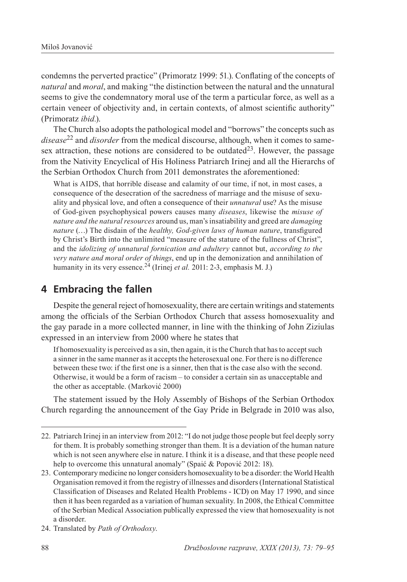condemns the perverted practice" (Primoratz 1999: 51*.*). Conflating of the concepts of *natural* and *moral*, and making "the distinction between the natural and the unnatural seems to give the condemnatory moral use of the term a particular force, as well as a certain veneer of objectivity and, in certain contexts, of almost scientific authority" (Primoratz *ibid.*).

The Church also adopts the pathological model and "borrows" the concepts such as *disease*22 and *disorder* from the medical discourse, although, when it comes to samesex attraction, these notions are considered to be outdated<sup>23</sup>. However, the passage from the Nativity Encyclical of His Holiness Patriarch Irinej and all the Hierarchs of the Serbian Orthodox Church from 2011 demonstrates the aforementioned:

What is AIDS, that horrible disease and calamity of our time, if not, in most cases, a consequence of the desecration of the sacredness of marriage and the misuse of sexuality and physical love, and often a consequence of their *unnatural* use? As the misuse of God-given psychophysical powers causes many *diseases*, likewise the *misuse of nature and the natural resources* around us, man's insatiability and greed are *damaging nature* (…) The disdain of the *healthy, God-given laws of human nature*, transfigured by Christ's Birth into the unlimited "measure of the stature of the fullness of Christ", and the *idolizing of unnatural fornication and adultery* cannot but, *according to the very nature and moral order of things*, end up in the demonization and annihilation of humanity in its very essence.<sup>24</sup> (Irinej *et al.* 2011: 2-3, emphasis M. J.)

# **4 Embracing the fallen**

Despite the general reject of homosexuality, there are certain writings and statements among the officials of the Serbian Orthodox Church that assess homosexuality and the gay parade in a more collected manner, in line with the thinking of John Ziziulas expressed in an interview from 2000 where he states that

If homosexuality is perceived as a sin, then again, it is the Church that has to accept such a sinner in the same manner as it accepts the heterosexual one. For there is no difference between these two: if the first one is a sinner, then that is the case also with the second. Otherwise, it would be a form of racism – to consider a certain sin as unacceptable and the other as acceptable. (Marković 2000)

The statement issued by the Holy Assembly of Bishops of the Serbian Orthodox Church regarding the announcement of the Gay Pride in Belgrade in 2010 was also,

<sup>22.</sup> Patriarch Irinej in an interview from 2012: "I do not judge those people but feel deeply sorry for them. It is probably something stronger than them. It is a deviation of the human nature which is not seen anywhere else in nature. I think it is a disease, and that these people need help to overcome this unnatural anomaly" (Spaić & Popović 2012: 18).

<sup>23.</sup> Contemporary medicine no longer considers homosexuality to be a disorder: the World Health Organisation removed it from the registry of illnesses and disorders (International Statistical Classification of Diseases and Related Health Problems - ICD) on May 17 1990, and since then it has been regarded as a variation of human sexuality. In 2008, the Ethical Committee of the Serbian Medical Association publically expressed the view that homosexuality is not a disorder.

<sup>24.</sup> Translated by *Path of Orthodoxy*.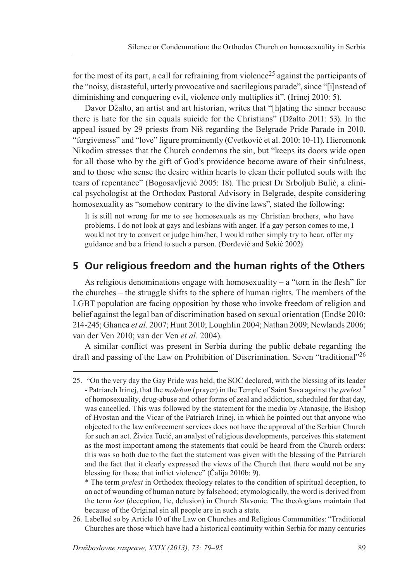for the most of its part, a call for refraining from violence<sup>25</sup> against the participants of the "noisy, distasteful, utterly provocative and sacrilegious parade", since "[i]nstead of diminishing and conquering evil, violence only multiplies it". (Irinej 2010: 5).

Davor Džalto, an artist and art historian, writes that "[h]ating the sinner because there is hate for the sin equals suicide for the Christians" (Džalto 2011: 53). In the appeal issued by 29 priests from Niš regarding the Belgrade Pride Parade in 2010, "forgiveness" and "love" figure prominently (Cvetković et al. 2010: 10-11). Hieromonk Nikodim stresses that the Church condemns the sin, but "keeps its doors wide open for all those who by the gift of God's providence become aware of their sinfulness, and to those who sense the desire within hearts to clean their polluted souls with the tears of repentance" (Bogosavljević 2005: 18). The priest Dr Srboljub Bulić, a clinical psychologist at the Orthodox Pastoral Advisory in Belgrade, despite considering homosexuality as "somehow contrary to the divine laws", stated the following:

It is still not wrong for me to see homosexuals as my Christian brothers, who have problems. I do not look at gays and lesbians with anger. If a gay person comes to me, I would not try to convert or judge him/her, I would rather simply try to hear, offer my guidance and be a friend to such a person. (Đorđević and Sokić 2002)

### **5 Our religious freedom and the human rights of the Others**

As religious denominations engage with homosexuality  $-$  a "torn in the flesh" for the churches – the struggle shifts to the sphere of human rights. The members of the LGBT population are facing opposition by those who invoke freedom of religion and belief against the legal ban of discrimination based on sexual orientation (Endše 2010: 214-245; Ghanea *et al.* 2007; Hunt 2010; Loughlin 2004; Nathan 2009; Newlands 2006; van der Ven 2010; van der Ven *et al.* 2004).

A similar conflict was present in Serbia during the public debate regarding the draft and passing of the Law on Prohibition of Discrimination. Seven "traditional"<sup>26</sup>

26. Labelled so by Article 10 of the Law on Churches and Religious Communities: "Traditional Churches are those which have had a historical continuity within Serbia for many centuries

<sup>25. &</sup>quot;On the very day the Gay Pride was held, the SOC declared, with the blessing of its leader - Patriarch Irinej, that the *moleban* (prayer) in the Temple of Saint Sava against the *prelest* \* of homosexuality, drug-abuse and other forms of zeal and addiction, scheduled for that day, was cancelled. This was followed by the statement for the media by Atanasije, the Bishop of Hvostan and the Vicar of the Patriarch Irinej, in which he pointed out that anyone who objected to the law enforcement services does not have the approval of the Serbian Church for such an act. Živica Tucić, an analyst of religious developments, perceives this statement as the most important among the statements that could be heard from the Church orders: this was so both due to the fact the statement was given with the blessing of the Patriarch and the fact that it clearly expressed the views of the Church that there would not be any blessing for those that inflict violence" (Čalija 2010b: 9).

<sup>\*</sup> The term *prelest* in Orthodox theology relates to the condition of spiritual deception, to an act of wounding of human nature by falsehood; etymologically, the word is derived from the term *lest* (deception, lie, delusion) in Church Slavonic. The theologians maintain that because of the Original sin all people are in such a state.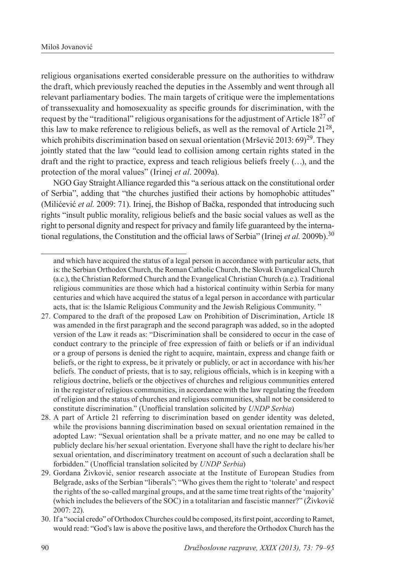religious organisations exerted considerable pressure on the authorities to withdraw the draft, which previously reached the deputies in the Assembly and went through all relevant parliamentary bodies. The main targets of critique were the implementations of transsexuality and homosexuality as specific grounds for discrimination, with the request by the "traditional" religious organisations for the adjustment of Article 1827 of this law to make reference to religious beliefs, as well as the removal of Article  $21^{28}$ , which prohibits discrimination based on sexual orientation (Mršević 2013: 69)<sup>29</sup>. They jointly stated that the law "could lead to collision among certain rights stated in the draft and the right to practice, express and teach religious beliefs freely (…), and the protection of the moral values" (Irinej *et al*. 2009a).

NGO Gay Straight Alliance regarded this "a serious attack on the constitutional order of Serbia", adding that "the churches justified their actions by homophobic attitudes" (Мilićеvić *et al.* 2009: 71). Irinej, the Bishop of Bačka, responded that introducing such rights "insult public morality, religious beliefs and the basic social values as well as the right to personal dignity and respect for privacy and family life guaranteed by the international regulations, the Constitution and the official laws of Serbia" (Irinej *et al.* 2009b).<sup>30</sup>

- 27. Compared to the draft of the proposed Law on Prohibition of Discrimination, Article 18 was amended in the first paragraph and the second paragraph was added, so in the adopted version of the Law it reads as: "Discrimination shall be considered to occur in the case of conduct contrary to the principle of free expression of faith or beliefs or if an individual or a group of persons is denied the right to acquire, maintain, express and change faith or beliefs, or the right to express, be it privately or publicly, or act in accordance with his/her beliefs. The conduct of priests, that is to say, religious officials, which is in keeping with a religious doctrine, beliefs or the objectives of churches and religious communities entered in the register of religious communities, in accordance with the law regulating the freedom of religion and the status of churches and religious communities, shall not be considered to constitute discrimination." (Unofficial translation solicited by *UNDP Serbia*)
- 28. A part of Article 21 referring to discrimination based on gender identity was deleted, while the provisions banning discrimination based on sexual orientation remained in the adopted Law: "Sexual orientation shall be a private matter, and no one may be called to publicly declare his/her sexual orientation. Everyone shall have the right to declare his/her sexual orientation, and discriminatory treatment on account of such a declaration shall be forbidden." (Unofficial translation solicited by *UNDP Serbia*)

30. If a "social credo" of Orthodox Churches could be composed, its first point, according to Ramet, would read: "God's law is above the positive laws, and therefore the Orthodox Church has the

and which have acquired the status of a legal person in accordance with particular acts, that is: the Serbian Orthodox Church, the Roman Catholic Church, the Slovak Evangelical Church (a.c.), the Christian Reformed Church and the Evangelical Christian Church (a.c.). Traditional religious communities are those which had a historical continuity within Serbia for many centuries and which have acquired the status of a legal person in accordance with particular acts, that is: the Islamic Religious Community and the Jewish Religious Community. "

<sup>29.</sup> Gordana Živković, senior research associate at the Institute of European Studies from Belgrade, asks of the Serbian "liberals": "Who gives them the right to 'tolerate' and respect the rights of the so-called marginal groups, and at the same time treat rights of the 'majority' (which includes the believers of the SOC) in a totalitarian and fascistic manner?" (Živković 2007: 22).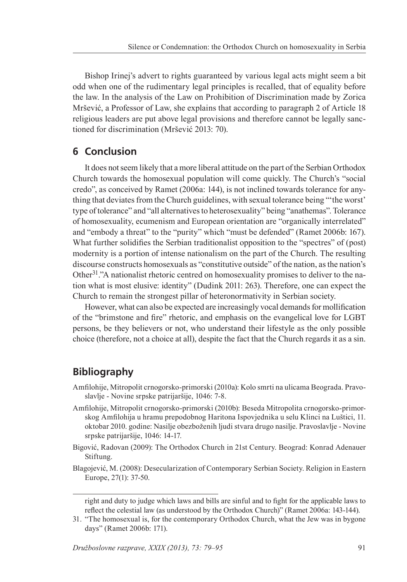Bishop Irinej's advert to rights guaranteed by various legal acts might seem a bit odd when one of the rudimentary legal principles is recalled, that of equality before the law. In the analysis of the Law on Prohibition of Discrimination made by Zorica Mršević, a Professor of Law, she explains that according to paragraph 2 of Article 18 religious leaders are put above legal provisions and therefore cannot be legally sanctioned for discrimination (Mršević 2013: 70).

# **6 Conclusion**

It does not seem likely that a more liberal attitude on the part of the Serbian Orthodox Church towards the homosexual population will come quickly. The Church's "social credo", as conceived by Ramet (2006a: 144), is not inclined towards tolerance for anything that deviates from the Church guidelines, with sexual tolerance being "'the worst' type of tolerance" and "all alternatives to heterosexuality" being "anathemas". Tolerance of homosexuality, ecumenism and European orientation are "organically interrelated" and "embody a threat" to the "purity" which "must be defended" (Ramet 2006b: 167). What further solidifies the Serbian traditionalist opposition to the "spectres" of (post) modernity is a portion of intense nationalism on the part of the Church. The resulting discourse constructs homosexuals as "constitutive outside" of the nation, as the nation's Other<sup>31</sup>."A nationalist rhetoric centred on homosexuality promises to deliver to the nation what is most elusive: identity" (Dudink 2011: 263). Therefore, one can expect the Church to remain the strongest pillar of heteronormativity in Serbian society.

However, what can also be expected are increasingly vocal demands for mollification of the "brimstone and fire" rhetoric, and emphasis on the evangelical love for LGBT persons, be they believers or not, who understand their lifestyle as the only possible choice (therefore, not a choice at all), despite the fact that the Church regards it as a sin.

# **Bibliography**

- Amfilohije, Mitropolit crnogorsko-primorski (2010a): Kolo smrti na ulicama Beograda. Pravoslavlje - Novine srpske patrijaršije, 1046: 7-8.
- Amfilohije, Mitropolit crnogorsko-primorski (2010b): Beseda Mitropolita crnogorsko-primorskog Amfilohija u hramu prepodobnog Haritona Ispovjednika u selu Klinci na Luštici, 11. oktobar 2010. godine: Nasilje obezboženih ljudi stvara drugo nasilje. Pravoslavlje - Novine srpske patrijaršije, 1046: 14-17.
- Bigović, Radovan (2009): The Orthodox Church in 21st Century. Beograd: Konrad Adenauer Stiftung.
- Blagojević, M. (2008): Desecularization of Contemporary Serbian Society. Religion in Eastern Europe, 27(1): 37-50.

right and duty to judge which laws and bills are sinful and to fight for the applicable laws to reflect the celestial law (as understood by the Orthodox Church)" (Ramet 2006a: 143-144).

<sup>31.</sup> "The homosexual is, for the contemporary Orthodox Church, what the Jew was in bygone days" (Ramet 2006b: 171).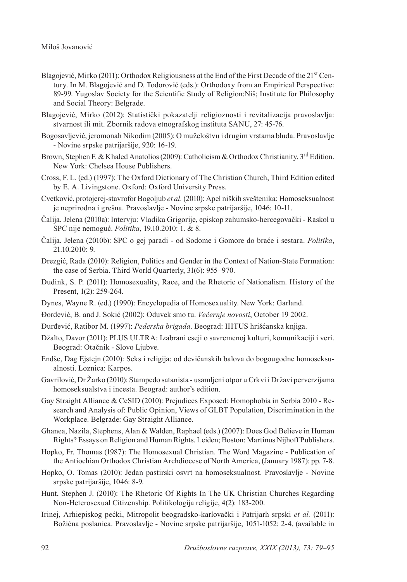- Blagojević, Mirko (2011): Orthodox Religiousness at the End of the First Decade of the 21<sup>st</sup> Century. In M. Blagojević and D. Todorović (eds.): Orthodoxy from an Empirical Perspective: 89-99. Yugoslav Society for the Scientific Study of Religion:Niš; Institute for Philosophy and Social Theory: Belgrade.
- Blаgојеvić, Mirkо (2012): Stаtistički pоkаzаtеlјi rеligiоznоsti i rеvitаlizаciја prаvоslаvlја: stvаrnоst ili mit. Zbоrnik rаdоvа еtnоgrаfskоg institutа SАNU, 27: 45-76.
- Bogosavljević, jeromonah Nikodim (2005): O muželoštvu i drugim vrstama bluda. Pravoslavlje - Novine srpske patrijaršije, 920: 16-19.
- Brown, Stephen F. & Khaled Anatolios (2009): Catholicism & Orthodox Christianity, 3<sup>rd</sup> Edition. New York: Chelsea House Publishers.
- Cross, F. L. (ed.) (1997): The Oxford Dictionary of The Christian Church, Third Edition edited by E. A. Livingstone. Oxford: Oxford University Press.
- Cvetković, protojerej-stavrofor Bogoljub *et al.* (2010): Apel niških sveštenika: Homoseksualnost je neprirodna i grešna. Pravoslavlje - Novine srpske patrijaršije, 1046: 10-11.
- Čalija, Jelena (2010a): Intervju: Vladika Grigorije, episkop zahumsko-hercegovački Raskol u SPC nije nemoguć. *Politika*, 19.10.2010: 1. & 8.
- Čalija, Jelena (2010b): SPC o gej paradi od Sodome i Gomore do braće i sestara. *Politika*, 21.10.2010: 9.
- Drezgić, Rada (2010): Religion, Politics and Gender in the Context of Nation-State Formation: the case of Serbia. Third World Quarterly, 31(6): 955–970.
- Dudink, S. P. (2011): Homosexuality, Race, and the Rhetoric of Nationalism. History of the Present, 1(2): 259-264.
- Dynes, Wayne R. (ed.) (1990): Encyclopedia of Homosexuality. New York: Garland.
- Đorđević, B. and J. Sokić (2002): Oduvek smo tu. *Večernje novosti*, October 19 2002.
- Đurđević, Ratibor M. (1997): *Pederska brigada*. Beograd: IHTUS hrišćanska knjiga.
- Džalto, Davor (2011): PLUS ULTRA: Izаbrаni еsејi о sаvrеmеnој kulturi, kоmunikаciјi i vеri. Beograd: Оtаčnik - Slоvо Ljubvе.
- Endše, Dag Ejstejn (2010): Seks i religija: od devičanskih balova do bogougodne homoseksualnosti. Loznica: Karpos.
- Gavrilović, Dr Žarko (2010): Stampedo satanista usamljeni otpor u Crkvi i Državi perverzijama homoseksualstva i incesta. Beograd: author's edition.
- Gay Straight Alliance & CeSID (2010): Prejudices Exposed: Homophobia in Serbia 2010 Research and Analysis of: Public Opinion, Views of GLBT Population, Discrimination in the Workplace. Belgrade: Gay Straight Alliance.
- Ghanea, Nazila, Stephens, Alan & Walden, Raphael (eds.) (2007): Does God Believe in Human Rights? Essays on Religion and Human Rights. Leiden; Boston: Martinus Nijhoff Publishers.
- Hopko, Fr. Thomas (1987): The Homosexual Christian. The Word Magazine Publication of the Antiochian Orthodox Christian Archdiocese of North America, (January 1987): pp. 7-8.
- Hopko, O. Tomas (2010): Jedan pastirski osvrt na homoseksualnost. Pravoslavlje Novine srpske patrijaršije, 1046: 8-9.
- Hunt, Stephen J. (2010): The Rhetoric Of Rights In The UK Christian Churches Regarding Non-Heterosexual Citizenship. Politikologija religije, 4(2): 183-200.
- Irinej, Arhiepiskog pećki, Mitropolit beogradsko-karlovački i Patrijarh srpski *et al.* (2011): Božićna poslanica. Pravoslavlje - Novine srpske patrijaršije, 1051-1052: 2-4. (available in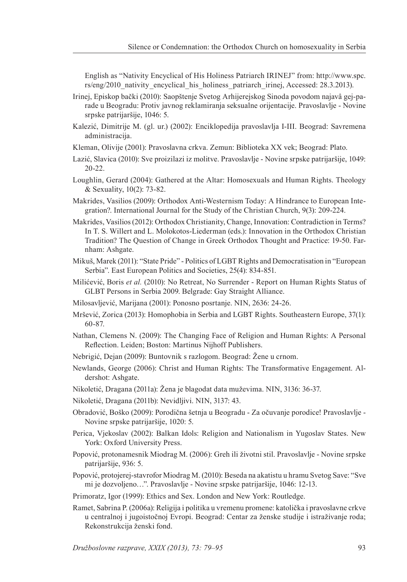English as "Nativity Encyclical of His Holiness Patriarch IRINEJ" from: http://www.spc. rs/eng/2010\_nativity\_encyclical\_his\_holiness\_patriarch\_irinej, Accessed: 28.3.2013).

- Irinej, Episkop bački (2010): Saopštenje Svetog Arhijerejskog Sinoda povodom najavâ gej-parade u Beogradu: Protiv javnog reklamiranja seksualne orijentacije. Pravoslavlje - Novine srpske patrijaršije, 1046: 5.
- Kalezić, Dimitrije M. (gl. ur.) (2002): Enciklopedija pravoslavlja I-III. Beograd: Savremena administracija.
- Kleman, Olivije (2001): Pravoslavna crkva. Zemun: Biblioteka XX vek; Beograd: Plato.
- Lazić, Slavica (2010): Sve proizilazi iz molitve. Pravoslavlje Novine srpske patrijaršije, 1049: 20-22.
- Loughlin, Gerard (2004): Gathered at the Altar: Homosexuals and Human Rights. Theology & Sexuality, 10(2): 73-82.
- Makrides, Vasilios (2009): Orthodox Anti-Westernism Today: A Hindrance to European Integration?. International Journal for the Study of the Christian Church, 9(3): 209-224.
- Makrides, Vasilios (2012): Orthodox Christianity, Change, Innovation: Contradiction in Terms? In T. S. Willert and L. Molokotos-Liederman (eds.): Innovation in the Orthodox Christian Tradition? The Question of Change in Greek Orthodox Thought and Practice: 19-50. Farnham: Ashgate.
- Mikuš, Marek (2011): "State Pride" Politics of LGBT Rights and Democratisation in "European Serbia". East European Politics and Societies, 25(4): 834-851.
- Milićević, Boris *et al.* (2010): No Retreat, No Surrender Report on Human Rights Status of GLBT Persons in Serbia 2009. Belgrade: Gay Straight Alliance.
- Milosavljević, Marijana (2001): Ponosno posrtanje. NIN, 2636: 24-26.
- Mršević, Zorica (2013): Homophobia in Serbia and LGBT Rights. Southeastern Europe, 37(1): 60-87.
- Nathan, Clemens N. (2009): The Changing Face of Religion and Human Rights: A Personal Reflection. Leiden; Boston: Martinus Nijhoff Publishers.
- Nebrigić, Dejan (2009): Buntovnik s razlogom. Beograd: Žene u crnom.
- Newlands, George (2006): Christ and Human Rights: The Transformative Engagement. Aldershot: Ashgate.
- Nikoletić, Dragana (2011a): Žena je blagodat data muževima. NIN, 3136: 36-37.
- Nikoletić, Dragana (2011b): Nevidljivi. NIN, 3137: 43.
- Obradović, Boško (2009): Porodična šetnja u Beogradu Za očuvanje porodice! Pravoslavlje Novine srpske patrijaršije, 1020: 5.
- Perica, Vjekoslav (2002): Balkan Idols: Religion and Nationalism in Yugoslav States. New York: Oxford University Press.
- Popović, protonamesnik Miodrag M. (2006): Greh ili životni stil. Pravoslavlje Novine srpske patrijaršije, 936: 5.
- Popović, protojerej-stavrofor Miodrag M. (2010): Beseda na akatistu u hramu Svetog Save: "Sve mi je dozvoljeno…". Pravoslavlje - Novine srpske patrijaršije, 1046: 12-13.
- Primoratz, Igor (1999): Ethics and Sex. London and New York: Routledge.
- Ramet, Sabrina P. (2006a): Religija i politika u vremenu promene: katolička i pravoslavne crkve u centralnoj i jugoistočnoj Evropi. Beograd: Centar za ženske studije i istraživanje roda; Rekonstrukcija ženski fond.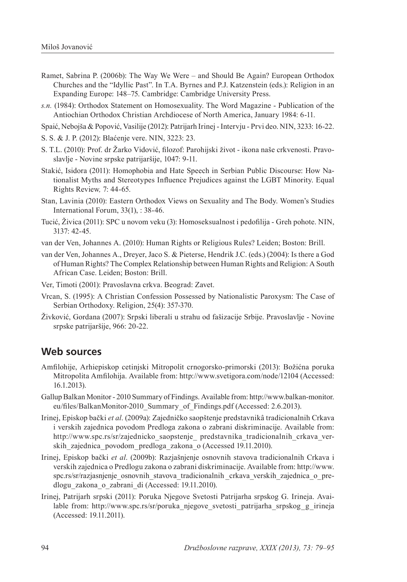- Ramet, Sabrina P. (2006b): The Way We Were and Should Be Again? European Orthodox Churches and the "Idyllic Past". In T.A. Byrnes and P.J. Katzenstein (eds.): Religion in an Expanding Europe: 148–75. Cambridge: Cambridge University Press.
- *s.n.* (1984): Orthodox Statement on Homosexuality. The Word Magazine Publication of the Antiochian Orthodox Christian Archdiocese of North America, January 1984: 6-11.
- Spaić, Nebojša & Popović, Vasilije (2012): Patrijarh Irinej Intervju Prvi deo. NIN, 3233: 16-22.
- S. S. & J. P. (2012): Blaćenje vere. NIN, 3223: 23.
- S. T.L. (2010): Prof. dr Žarko Vidović, filozof: Parohijski život ikona naše crkvenosti. Pravoslavlje - Novine srpske patrijaršije, 1047: 9-11.
- Stakić, Isidora (2011): Homophobia and Hate Speech in Serbian Public Discourse: How Nationalist Myths and Stereotypes Influence Prejudices against the LGBT Minority. Equal Rights Review*,* 7: 44-65.
- Stan, Lavinia (2010): Eastern Orthodox Views on Sexuality and The Body. Women's Studies International Forum, 33(1), : 38-46.
- Tucić, Živica (2011): SPC u novom veku (3): Homoseksualnost i pedofilija Greh pohote. NIN, 3137: 42-45.
- van der Ven, Johannes A. (2010): Human Rights or Religious Rules? Leiden; Boston: Brill.
- van der Ven, Johannes A., Dreyer, Jaco S. & Pieterse, Hendrik J.C. (eds.) (2004): Is there a God of Human Rights? The Complex Relationship between Human Rights and Religion: A South African Case. Leiden; Boston: Brill.
- Ver, Timoti (2001): Pravoslavna crkva. Beograd: Zavet.
- Vrcan, S. (1995): A Christian Confession Possessed by Nationalistic Paroxysm: The Case of Serbian Orthodoxy. Religion, 25(4): 357-370.
- Živković, Gordana (2007): Srpski liberali u strahu od fašizacije Srbije. Pravoslavlje Novine srpske patrijaršije, 966: 20-22.

# **Web sources**

- Amfilohije, Аrhiеpiskоp cеtinjski Мitrоpоlit crnоgоrskо-primоrski (2013): Bоžićnа pоrukа Мitrоpоlitа Аmfilоhiја. Available from: http://www.svetigora.com/node/12104 (Accessed: 16.1.2013).
- Gallup Balkan Monitor 2010 Summary of Findings. Available from: http://www.balkan-monitor. eu/files/BalkanMonitor-2010 Summary of Findings.pdf (Accessed: 2.6.2013).
- Irinej, Episkop bački *et al*. (2009a): Zajedničko saopštenje predstavnikâ tradicionalnih Crkava i verskih zajednica povodom Predloga zakona o zabrani diskriminacije. Available from: http://www.spc.rs/sr/zajednicko\_saopstenje\_ predstavnika\_tradicionalnih\_crkava\_verskih zajednica povodom predloga zakona o (Accessed 19.11.2010).
- Irinej, Episkop bački *et al*. (2009b): Razjašnjenje osnovnih stavova tradicionalnih Crkava i verskih zajednica o Predlogu zakona o zabrani diskriminacije. Available from: http://www. spc.rs/sr/razjasnjenje\_osnovnih\_stavova\_tradicionalnih crkava\_verskih\_zajednica\_o\_predlogu\_zakona\_o\_zabrani\_di (Accessed: 19.11.2010).
- Irinеј, Pаtriјаrh srpski (2011): Pоrukа Nјеgоvе Svеtоsti Pаtriјаrhа srpskоg G. Irinеја. Available from: http://www.spc.rs/sr/poruka\_njegove\_svetosti\_patrijarha\_srpskog\_g\_irineja (Accessed: 19.11.2011).